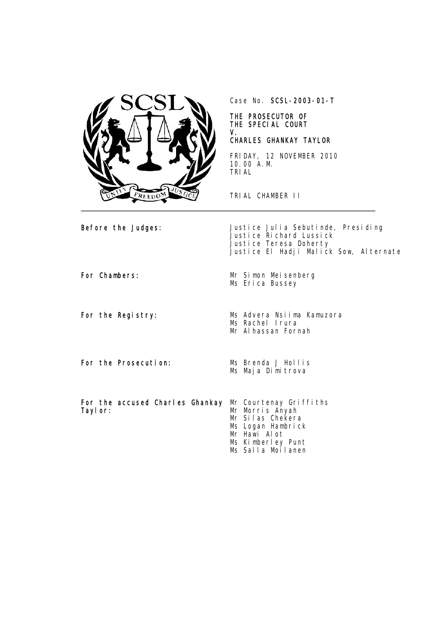

Case No. SCSL-2003-01-T

## THE PROSECUTOR OF THE SPECIAL COURT V.

## CHARLES GHANKAY TAYLOR

FRIDAY, 12 NOVEMBER 2010 10.00 A.M. TRIAL

TRIAL CHAMBER II

Before the Judges:  $J$ ustice Julia Sebutinde, Presiding Justice Richard Lussick Justice Teresa Doherty Justice El Hadji Malick Sow, Alternate

For Chambers: Mr Simon Meisenberg Ms Erica Bussey

For the Registry: Ms Advera Nsiima Kamuzora Ms Rachel Irura Mr Alhassan Fornah

For the Prosecution: Ms Brenda J Hollis

Ms Maja Dimitrova

For the accused Charles Ghankay Mr Courtenay Griffiths Taylor:

Mr Morris Anyah Mr Silas Chekera Ms Logan Hambrick Mr Hawi Alot Ms Kimberley Punt Ms Salla Moilanen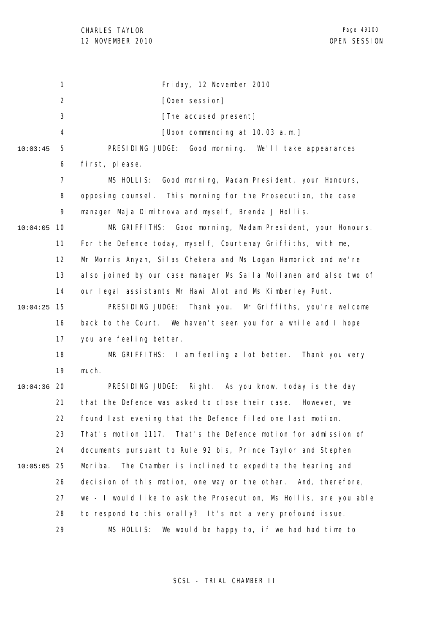1 2 3 4 5 6 7 8 9 10 10:04:05 11 12 13 14 15 10:04:25 16 17 18 19 20 10:04:36 21 22 23 24 25 10:05:05 26 27 28 29 10:03:45 Friday, 12 November 2010 [Open session] [The accused present] [Upon commencing at 10.03 a.m.] PRESIDING JUDGE: Good morning. We'll take appearances first, please. MS HOLLIS: Good morning, Madam President, your Honours, opposing counsel. This morning for the Prosecution, the case manager Maja Dimitrova and myself, Brenda J Hollis. MR GRIFFITHS: Good morning, Madam President, your Honours. For the Defence today, myself, Courtenay Griffiths, with me, Mr Morris Anyah, Silas Chekera and Ms Logan Hambrick and we're also joined by our case manager Ms Salla Moilanen and also two of our legal assistants Mr Hawi Alot and Ms Kimberley Punt. PRESIDING JUDGE: Thank you. Mr Griffiths, you're welcome back to the Court. We haven't seen you for a while and I hope you are feeling better. MR GRIFFITHS: I am feeling a lot better. Thank you very much. PRESIDING JUDGE: Right. As you know, today is the day that the Defence was asked to close their case. However, we found last evening that the Defence filed one last motion. That's motion 1117. That's the Defence motion for admission of documents pursuant to Rule 92 bis, Prince Taylor and Stephen Moriba. The Chamber is inclined to expedite the hearing and decision of this motion, one way or the other. And, therefore, we - I would like to ask the Prosecution, Ms Hollis, are you able to respond to this orally? It's not a very profound issue. MS HOLLIS: We would be happy to, if we had had time to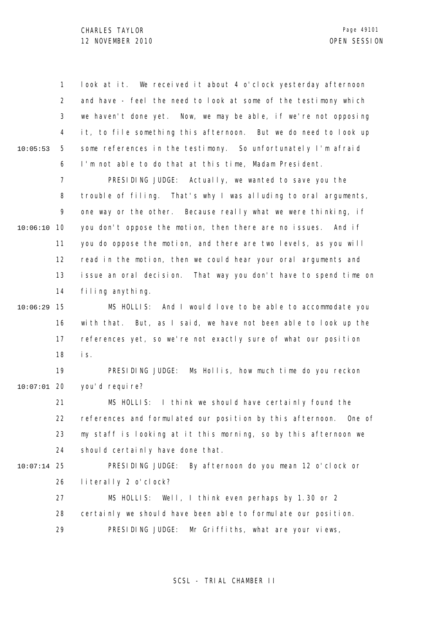1 2 3 4 5 6 10:05:53 look at it. We received it about 4 o'clock yesterday afternoon and have - feel the need to look at some of the testimony which we haven't done yet. Now, we may be able, if we're not opposing it, to file something this afternoon. But we do need to look up some references in the testimony. So unfortunately I'm afraid I'm not able to do that at this time, Madam President.

7 8 9 10 10:06:10 11 12 13 14 PRESIDING JUDGE: Actually, we wanted to save you the trouble of filing. That's why I was alluding to oral arguments, one way or the other. Because really what we were thinking, if you don't oppose the motion, then there are no issues. And if you do oppose the motion, and there are two levels, as you will read in the motion, then we could hear your oral arguments and issue an oral decision. That way you don't have to spend time on filing anything.

15 10:06:29 16 17 18 MS HOLLIS: And I would love to be able to accommodate you with that. But, as I said, we have not been able to look up the references yet, so we're not exactly sure of what our position is.

19 20 10:07:01 PRESIDING JUDGE: Ms Hollis, how much time do you reckon you'd require?

21 22 23 24 MS HOLLIS: I think we should have certainly found the references and formulated our position by this afternoon. One of my staff is looking at it this morning, so by this afternoon we should certainly have done that.

25 10:07:14

26 PRESIDING JUDGE: By afternoon do you mean 12 o'clock or literally 2 o'clock?

27 28 29 MS HOLLIS: Well, I think even perhaps by 1.30 or 2 certainly we should have been able to formulate our position. PRESIDING JUDGE: Mr Griffiths, what are your views,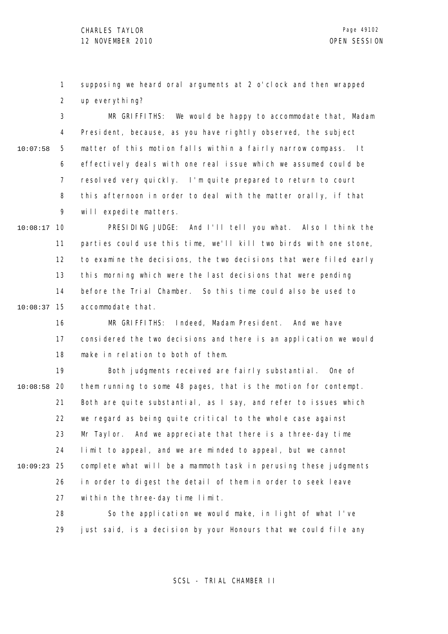1 2 supposing we heard oral arguments at 2 o'clock and then wrapped up everything?

3 4 5 6 7 8  $\mathsf{o}$ 10:07:58 MR GRIFFITHS: We would be happy to accommodate that, Madam President, because, as you have rightly observed, the subject matter of this motion falls within a fairly narrow compass. It effectively deals with one real issue which we assumed could be resolved very quickly. I'm quite prepared to return to court this afternoon in order to deal with the matter orally, if that will expedite matters.

10 10:08:17 11 12 13 14 15 10:08:37 PRESIDING JUDGE: And I'll tell you what. Also I think the parties could use this time, we'll kill two birds with one stone, to examine the decisions, the two decisions that were filed early this morning which were the last decisions that were pending before the Trial Chamber. So this time could also be used to accommodate that.

> 16 17 18 MR GRIFFITHS: Indeed, Madam President. And we have considered the two decisions and there is an application we would make in relation to both of them.

19 20 10:08:58 21 22 23 24 25 10:09:23 26 27 Both judgments received are fairly substantial. One of them running to some 48 pages, that is the motion for contempt. Both are quite substantial, as I say, and refer to issues which we regard as being quite critical to the whole case against Mr Taylor. And we appreciate that there is a three-day time limit to appeal, and we are minded to appeal, but we cannot complete what will be a mammoth task in perusing these judgments in order to digest the detail of them in order to seek leave within the three-day time limit.

> 28 29 So the application we would make, in light of what I've just said, is a decision by your Honours that we could file any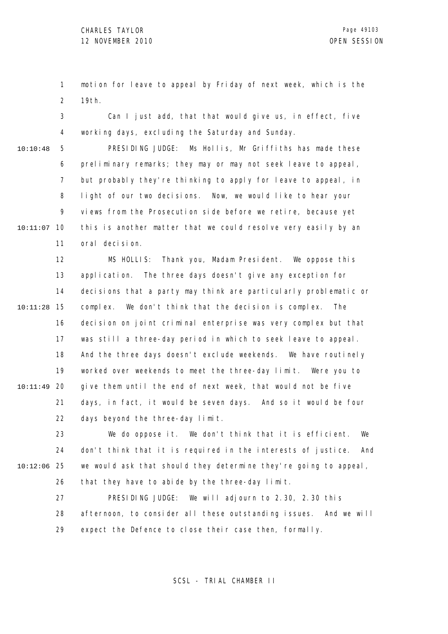1 2 motion for leave to appeal by Friday of next week, which is the 19th.

3 4 Can I just add, that that would give us, in effect, five working days, excluding the Saturday and Sunday.

5 6 7 8 9 10 10:11:07 11 10:10:48 PRESIDING JUDGE: Ms Hollis, Mr Griffiths has made these preliminary remarks; they may or may not seek leave to appeal, but probably they're thinking to apply for leave to appeal, in light of our two decisions. Now, we would like to hear your views from the Prosecution side before we retire, because yet this is another matter that we could resolve very easily by an oral decision.

12 13 14 15 10:11:28 16 17 18 19 20 10:11:49 21 22 MS HOLLIS: Thank you, Madam President. We oppose this application. The three days doesn't give any exception for decisions that a party may think are particularly problematic or complex. We don't think that the decision is complex. The decision on joint criminal enterprise was very complex but that was still a three-day period in which to seek leave to appeal. And the three days doesn't exclude weekends. We have routinely worked over weekends to meet the three-day limit. Were you to give them until the end of next week, that would not be five days, in fact, it would be seven days. And so it would be four days beyond the three-day limit.

23 24 25 10:12:06 26 We do oppose it. We don't think that it is efficient. We don't think that it is required in the interests of justice. And we would ask that should they determine they're going to appeal, that they have to abide by the three-day limit.

> 27 28 29 PRESIDING JUDGE: We will adjourn to 2.30, 2.30 this afternoon, to consider all these outstanding issues. And we will expect the Defence to close their case then, formally.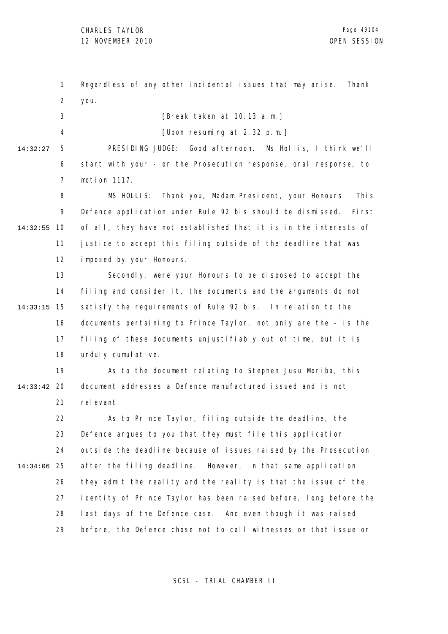1 2 Regardless of any other incidental issues that may arise. Thank you.

3 4 [Break taken at 10.13 a.m.] [Upon resuming at 2.32 p.m.]

5 6 7 14:32:27 PRESIDING JUDGE: Good afternoon. Ms Hollis, I think we'll start with your - or the Prosecution response, oral response, to motion 1117.

8 9 10 14:32:55 11 12 MS HOLLIS: Thank you, Madam President, your Honours. This Defence application under Rule 92 bis should be dismissed. First of all, they have not established that it is in the interests of justice to accept this filing outside of the deadline that was imposed by your Honours.

13 14 15 14:33:15 16 17 18 Secondly, were your Honours to be disposed to accept the filing and consider it, the documents and the arguments do not satisfy the requirements of Rule 92 bis. In relation to the documents pertaining to Prince Taylor, not only are the - is the filing of these documents unjustifiably out of time, but it is unduly cumulative.

19 20 14:33:42 21 As to the document relating to Stephen Jusu Moriba, this document addresses a Defence manufactured issued and is not rel evant.

22 23 24 25 14:34:06 26 27 28 29 As to Prince Taylor, filing outside the deadline, the Defence argues to you that they must file this application outside the deadline because of issues raised by the Prosecution after the filing deadline. However, in that same application they admit the reality and the reality is that the issue of the identity of Prince Taylor has been raised before, long before the last days of the Defence case. And even though it was raised before, the Defence chose not to call witnesses on that issue or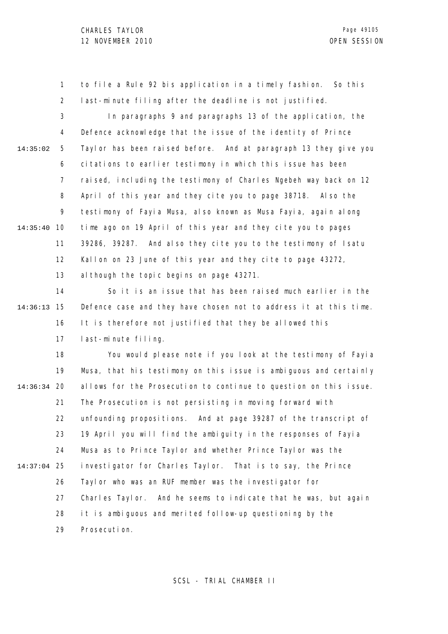1 2 to file a Rule 92 bis application in a timely fashion. So this last-minute filing after the deadline is not justified.

3 4 5 6 7 8 9 10 14:35:40 11 12 13 14:35:02 In paragraphs 9 and paragraphs 13 of the application, the Defence acknowledge that the issue of the identity of Prince Taylor has been raised before. And at paragraph 13 they give you citations to earlier testimony in which this issue has been raised, including the testimony of Charles Ngebeh way back on 12 April of this year and they cite you to page 38718. Also the testimony of Fayia Musa, also known as Musa Fayia, again along time ago on 19 April of this year and they cite you to pages 39286, 39287. And also they cite you to the testimony of Isatu Kallon on 23 June of this year and they cite to page 43272, al though the topic begins on page 43271.

14 15 14:36:13 16 17 So it is an issue that has been raised much earlier in the Defence case and they have chosen not to address it at this time. It is therefore not justified that they be allowed this last-minute filing.

18 19 20 14:36:34 21 22 23 24 25 14:37:04 26 27 28 29 You would please note if you look at the testimony of Fayia Musa, that his testimony on this issue is ambiguous and certainly allows for the Prosecution to continue to question on this issue. The Prosecution is not persisting in moving forward with unfounding propositions. And at page 39287 of the transcript of 19 April you will find the ambiguity in the responses of Fayia Musa as to Prince Taylor and whether Prince Taylor was the investigator for Charles Taylor. That is to say, the Prince Taylor who was an RUF member was the investigator for Charles Taylor. And he seems to indicate that he was, but again it is ambiguous and merited follow-up questioning by the Prosecution.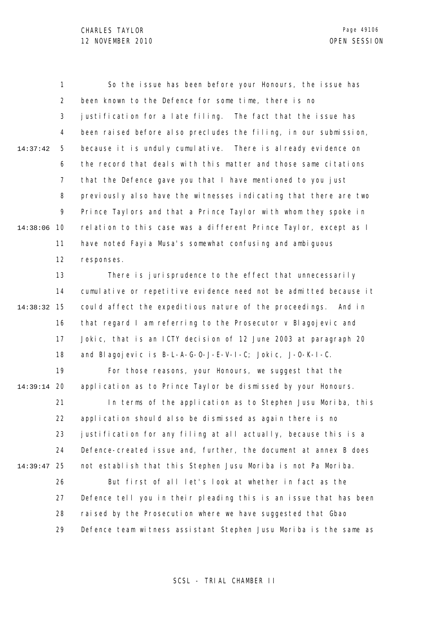1 2 3 4 5 6 7 8 9 14:38:06 10 11 12 13 14 15 14:38:32 16 17 18 19 20 14:39:14 21 22 23 24 25 14:39:47 26 27 28 29 14:37:42 So the issue has been before your Honours, the issue has been known to the Defence for some time, there is no justification for a late filing. The fact that the issue has been raised before also precludes the filing, in our submission, because it is unduly cumulative. There is already evidence on the record that deals with this matter and those same citations that the Defence gave you that I have mentioned to you just previously also have the witnesses indicating that there are two Prince Taylors and that a Prince Taylor with whom they spoke in relation to this case was a different Prince Taylor, except as I have noted Fayia Musa's somewhat confusing and ambiguous responses. There is jurisprudence to the effect that unnecessarily cumulative or repetitive evidence need not be admitted because it could affect the expeditious nature of the proceedings. And in that regard I am referring to the Prosecutor v Blagojevic and Jokic, that is an ICTY decision of 12 June 2003 at paragraph 20 and Blagojevic is B-L-A-G-O-J-E-V-I-C; Jokic, J-O-K-I-C. For those reasons, your Honours, we suggest that the application as to Prince Taylor be dismissed by your Honours. In terms of the application as to Stephen Jusu Moriba, this application should also be dismissed as again there is no justification for any filing at all actually, because this is a Defence-created issue and, further, the document at annex B does not establish that this Stephen Jusu Moriba is not Pa Moriba. But first of all let's look at whether in fact as the Defence tell you in their pleading this is an issue that has been raised by the Prosecution where we have suggested that Gbao Defence team witness assistant Stephen Jusu Moriba is the same as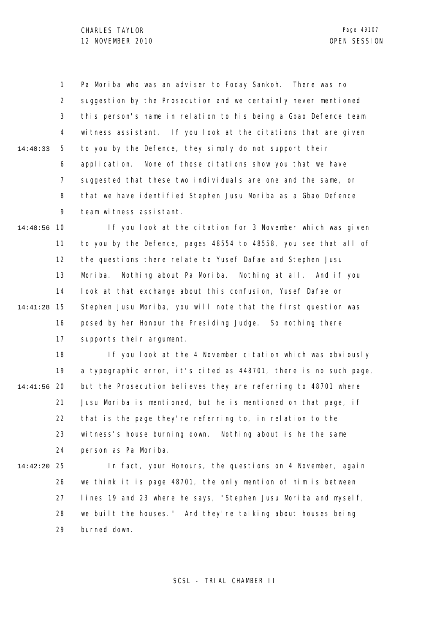1 2 3 4 5 6 7 8 9 14:40:33 Pa Moriba who was an adviser to Foday Sankoh. There was no suggestion by the Prosecution and we certainly never mentioned this person's name in relation to his being a Gbao Defence team witness assistant. If you look at the citations that are given to you by the Defence, they simply do not support their application. None of those citations show you that we have suggested that these two individuals are one and the same, or that we have identified Stephen Jusu Moriba as a Gbao Defence team witness assistant.

10 14:40:56 11 12 13 14 15 14:41:28 16 17 If you look at the citation for 3 November which was given to you by the Defence, pages 48554 to 48558, you see that all of the questions there relate to Yusef Dafae and Stephen Jusu Moriba. Nothing about Pa Moriba. Nothing at all. And if you look at that exchange about this confusion, Yusef Dafae or Stephen Jusu Moriba, you will note that the first question was posed by her Honour the Presiding Judge. So nothing there supports their argument.

18 19 20 14:41:56 21 22 23 24 If you look at the 4 November citation which was obviously a typographic error, it's cited as 448701, there is no such page, but the Prosecution believes they are referring to 48701 where Jusu Moriba is mentioned, but he is mentioned on that page, if that is the page they're referring to, in relation to the witness's house burning down. Nothing about is he the same person as Pa Moriba.

25 14:42:20

26 27 28 29 In fact, your Honours, the questions on 4 November, again we think it is page 48701, the only mention of him is between lines 19 and 23 where he says, "Stephen Jusu Moriba and myself, we built the houses." And they're talking about houses being burned down.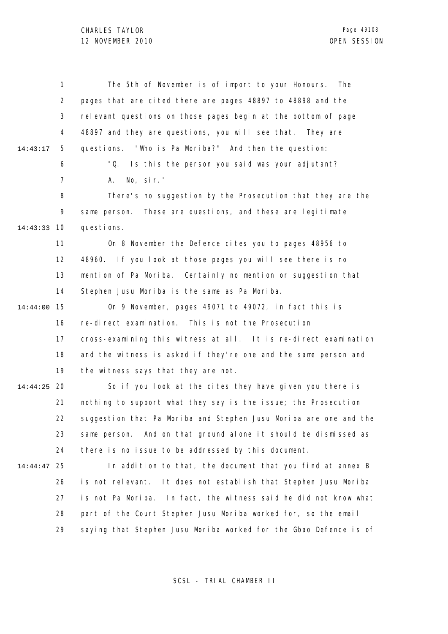|          | 1              | The 5th of November is of import to your Honours.<br>The           |
|----------|----------------|--------------------------------------------------------------------|
|          | $\overline{2}$ | pages that are cited there are pages 48897 to 48898 and the        |
|          | 3              | relevant questions on those pages begin at the bottom of page      |
|          | 4              | 48897 and they are questions, you will see that. They are          |
| 14:43:17 | 5              | questions. "Who is Pa Moriba?" And then the question:              |
|          | 6              | "Q.<br>Is this the person you said was your adjutant?              |
|          | $\overline{7}$ | No, $\sin$ ."<br>А.                                                |
|          | 8              | There's no suggestion by the Prosecution that they are the         |
|          | 9              | These are questions, and these are legitimate<br>same person.      |
| 14:43:33 | 10             | questions.                                                         |
|          | 11             | On 8 November the Defence cites you to pages 48956 to              |
|          | 12             | 48960. If you look at those pages you will see there is no         |
|          | 13             | mention of Pa Moriba. Certainly no mention or suggestion that      |
|          | 14             | Stephen Jusu Moriba is the same as Pa Moriba.                      |
| 14:44:00 | 15             | On 9 November, pages 49071 to 49072, in fact this is               |
|          | 16             | re-direct examination. This is not the Prosecution                 |
|          | 17             | cross-examining this witness at all. It is re-direct examination   |
|          | 18             | and the witness is asked if they're one and the same person and    |
|          | 19             | the witness says that they are not.                                |
| 14:44:25 | 20             | So if you look at the cites they have given you there is           |
|          | 21             | nothing to support what they say is the issue; the Prosecution     |
|          | 22             | suggestion that Pa Moriba and Stephen Jusu Moriba are one and the  |
|          | 23             | And on that ground alone it should be dismissed as<br>same person. |
|          | 24             | there is no issue to be addressed by this document.                |
| 14:44:47 | 25             | In addition to that, the document that you find at annex B         |
|          | 26             | It does not establish that Stephen Jusu Moriba<br>is not relevant. |
|          | 27             | is not Pa Moriba. In fact, the witness said he did not know what   |
|          | 28             | part of the Court Stephen Jusu Moriba worked for, so the email     |
|          | 29             | saying that Stephen Jusu Moriba worked for the Gbao Defence is of  |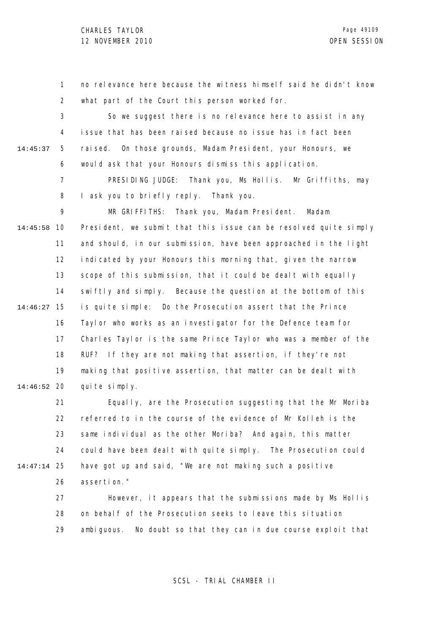1 2 no relevance here because the witness himself said he didn't know what part of the Court this person worked for.

3 4 5 6 14:45:37 So we suggest there is no relevance here to assist in any issue that has been raised because no issue has in fact been raised. On those grounds, Madam President, your Honours, we would ask that your Honours dismiss this application.

> 7 8 PRESIDING JUDGE: Thank you, Ms Hollis. Mr Griffiths, may I ask you to briefly reply. Thank you.

9 10 14:45:58 11 12 13 14 15 14:46:27 16 17 18 19 20 14:46:52 MR GRIFFITHS: Thank you, Madam President. Madam President, we submit that this issue can be resolved quite simply and should, in our submission, have been approached in the light indicated by your Honours this morning that, given the narrow scope of this submission, that it could be dealt with equally swiftly and simply. Because the question at the bottom of this is quite simple: Do the Prosecution assert that the Prince Taylor who works as an investigator for the Defence team for Charles Taylor is the same Prince Taylor who was a member of the RUF? If they are not making that assertion, if they're not making that positive assertion, that matter can be dealt with quite simply.

21 22 23 24 25 14:47:14 26 Equally, are the Prosecution suggesting that the Mr Moriba referred to in the course of the evidence of Mr Kolleh is the same individual as the other Moriba? And again, this matter could have been dealt with quite simply. The Prosecution could have got up and said, "We are not making such a positive assertion."

> 27 28 29 However, it appears that the submissions made by Ms Hollis on behalf of the Prosecution seeks to leave this situation ambiguous. No doubt so that they can in due course exploit that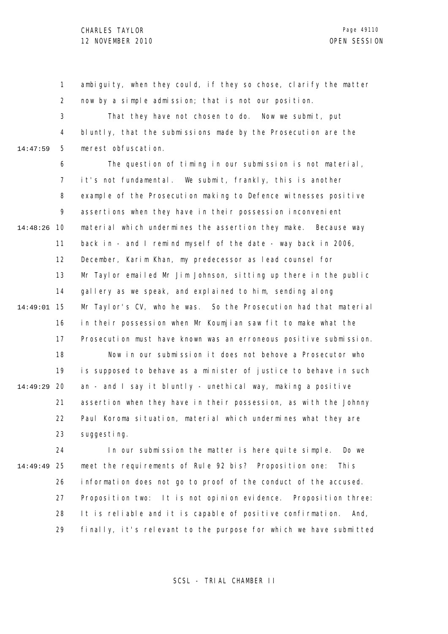1 2 ambiguity, when they could, if they so chose, clarify the matter now by a simple admission; that is not our position.

3 4 5 14:47:59 That they have not chosen to do. Now we submit, put bluntly, that the submissions made by the Prosecution are the merest obfuscation.

6 7 8 9 10 14:48:26 11 12 13 14 15 14:49:01 16 17 18 19 20 14:49:29 21 22 23 The question of timing in our submission is not material, it's not fundamental. We submit, frankly, this is another example of the Prosecution making to Defence witnesses positive assertions when they have in their possession inconvenient material which undermines the assertion they make. Because way back in - and I remind myself of the date - way back in 2006, December, Karim Khan, my predecessor as lead counsel for Mr Taylor emailed Mr Jim Johnson, sitting up there in the public gallery as we speak, and explained to him, sending along Mr Taylor's CV, who he was. So the Prosecution had that material in their possession when Mr Koumjian saw fit to make what the Prosecution must have known was an erroneous positive submission. Now in our submission it does not behove a Prosecutor who is supposed to behave as a minister of justice to behave in such an - and I say it bluntly - unethical way, making a positive assertion when they have in their possession, as with the Johnny Paul Koroma situation, material which undermines what they are suggesting.

24 25 14:49:49 26 27 28 29 In our submission the matter is here quite simple. Do we meet the requirements of Rule 92 bis? Proposition one: This information does not go to proof of the conduct of the accused. Proposition two: It is not opinion evidence. Proposition three: It is reliable and it is capable of positive confirmation. And, finally, it's relevant to the purpose for which we have submitted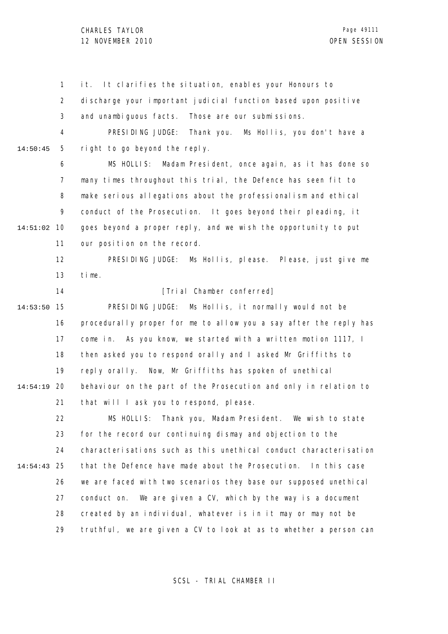1 2 3 4 5 6 7 8 9 10 14:51:02 11 12 13 14 15 14:53:50 16 17 18 19 20 14:54:19 21 22 23 24 25 14:54:43 26 27 28 29 14:50:45 it. It clarifies the situation, enables your Honours to discharge your important judicial function based upon positive and unambiguous facts. Those are our submissions. PRESIDING JUDGE: Thank you. Ms Hollis, you don't have a right to go beyond the reply. MS HOLLIS: Madam President, once again, as it has done so many times throughout this trial, the Defence has seen fit to make serious allegations about the professionalism and ethical conduct of the Prosecution. It goes beyond their pleading, it goes beyond a proper reply, and we wish the opportunity to put our position on the record. PRESIDING JUDGE: Ms Hollis, please. Please, just give me time. [Trial Chamber conferred] PRESIDING JUDGE: Ms Hollis, it normally would not be procedurally proper for me to allow you a say after the reply has come in. As you know, we started with a written motion 1117, I then asked you to respond orally and I asked Mr Griffiths to reply orally. Now, Mr Griffiths has spoken of unethical behaviour on the part of the Prosecution and only in relation to that will I ask you to respond, please. MS HOLLIS: Thank you, Madam President. We wish to state for the record our continuing dismay and objection to the characterisations such as this unethical conduct characterisation that the Defence have made about the Prosecution. In this case we are faced with two scenarios they base our supposed unethical conduct on. We are given a CV, which by the way is a document created by an individual, whatever is in it may or may not be truthful, we are given a CV to look at as to whether a person can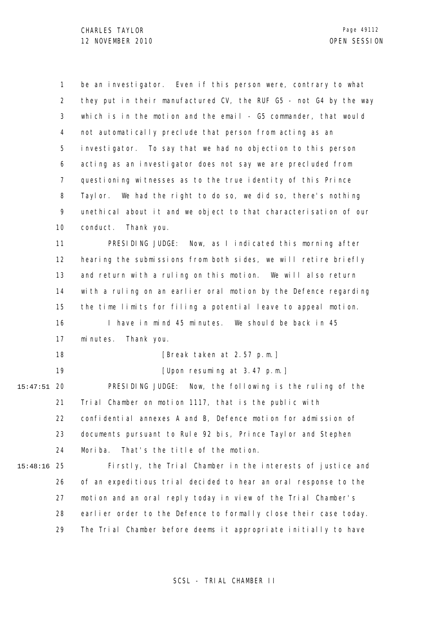|          | 1              | be an investigator. Even if this person were, contrary to what    |
|----------|----------------|-------------------------------------------------------------------|
|          | 2              | they put in their manufactured CV, the RUF G5 - not G4 by the way |
|          | 3              | which is in the motion and the email - G5 commander, that would   |
|          | 4              | not automatically preclude that person from acting as an          |
|          | 5              | investigator. To say that we had no objection to this person      |
|          | 6              | acting as an investigator does not say we are precluded from      |
|          | $\overline{7}$ | questioning witnesses as to the true identity of this Prince      |
|          | 8              | We had the right to do so, we did so, there's nothing<br>Tayl or. |
|          | 9              | unethical about it and we object to that characterisation of our  |
|          | 10             | conduct.<br>Thank you.                                            |
|          | 11             | PRESIDING JUDGE: Now, as I indicated this morning after           |
|          | 12             | hearing the submissions from both sides, we will retire briefly   |
|          | 13             | and return with a ruling on this motion. We will also return      |
|          | 14             | with a ruling on an earlier oral motion by the Defence regarding  |
|          | 15             | the time limits for filing a potential leave to appeal motion.    |
|          | 16             | I have in mind 45 minutes. We should be back in 45                |
|          | 17             | minutes.<br>Thank you.                                            |
|          | 18             | [Break taken at 2.57 p.m.]                                        |
|          | 19             | [Upon resuming at 3.47 p.m.]                                      |
| 15:47:51 | 20             | PRESIDING JUDGE:<br>Now, the following is the ruling of the       |
|          | 21             | Trial Chamber on motion 1117, that is the public with             |
|          | 22.            | confidential annexes A and B, Defence motion for admission of     |
|          | 23             | documents pursuant to Rule 92 bis, Prince Taylor and Stephen      |
|          | 24             | Moriba.<br>That's the title of the motion.                        |
| 15:48:16 | 25             | Firstly, the Trial Chamber in the interests of justice and        |
|          | 26             | of an expeditious trial decided to hear an oral response to the   |
|          | 27             | motion and an oral reply today in view of the Trial Chamber's     |
|          | 28             | earlier order to the Defence to formally close their case today.  |
|          | 29             | The Trial Chamber before deems it appropriate initially to have   |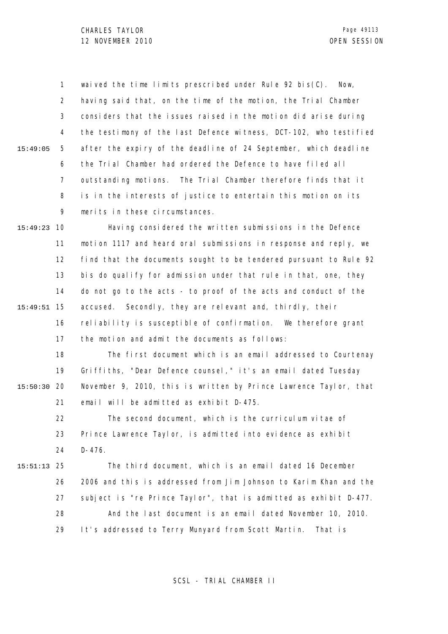1 2 3 4 5 6 7 8 9 15:49:05 waived the time limits prescribed under Rule 92 bis( $C$ ). Now, having said that, on the time of the motion, the Trial Chamber considers that the issues raised in the motion did arise during the testimony of the last Defence witness, DCT-102, who testified after the expiry of the deadline of 24 September, which deadline the Trial Chamber had ordered the Defence to have filed all outstanding motions. The Trial Chamber therefore finds that it is in the interests of justice to entertain this motion on its merits in these circumstances.

10 15:49:23 11 12 13 14 15 15:49:51 16 17 Having considered the written submissions in the Defence motion 1117 and heard oral submissions in response and reply, we find that the documents sought to be tendered pursuant to Rule 92 bis do qualify for admission under that rule in that, one, they do not go to the acts - to proof of the acts and conduct of the accused. Secondly, they are relevant and, thirdly, their reliability is susceptible of confirmation. We therefore grant the motion and admit the documents as follows:

18 19 20 15:50:30 21 The first document which is an email addressed to Courtenay Griffiths, "Dear Defence counsel," it's an email dated Tuesday November 9, 2010, this is written by Prince Lawrence Taylor, that email will be admitted as exhibit D-475.

22 23 24 The second document, which is the curriculum vitae of Prince Lawrence Taylor, is admitted into evidence as exhibit D-476.

25 15:51:13 26 27 28 29 The third document, which is an email dated 16 December 2006 and this is addressed from Jim Johnson to Karim Khan and the subject is "re Prince Taylor", that is admitted as exhibit D-477. And the last document is an email dated November 10, 2010. It's addressed to Terry Munyard from Scott Martin. That is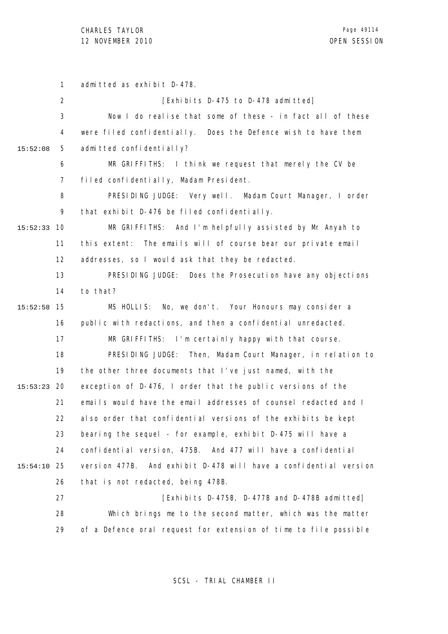1 2 3 4 5 6 7 8 9 10 15:52:33 11 12 13 14 15 15:52:58 16 17 18 19 20 15:53:23 21 22 23 24 25 15:54:10 26 27 28 29 15:52:08 admitted as exhibit D-478. [Exhibits D-475 to D-478 admitted] Now I do realise that some of these - in fact all of these were filed confidentially. Does the Defence wish to have them admitted confidentially? MR GRIFFITHS: I think we request that merely the CV be filed confidentially, Madam President. PRESIDING JUDGE: Very well. Madam Court Manager, I order that exhibit D-476 be filed confidentially. MR GRIFFITHS: And I'm helpfully assisted by Mr Anyah to this extent: The emails will of course bear our private email addresses, so I would ask that they be redacted. PRESIDING JUDGE: Does the Prosecution have any objections to that? MS HOLLIS: No, we don't. Your Honours may consider a public with redactions, and then a confidential unredacted. MR GRIFFITHS: I'm certainly happy with that course. PRESIDING JUDGE: Then, Madam Court Manager, in relation to the other three documents that I've just named, with the exception of D-476, I order that the public versions of the emails would have the email addresses of counsel redacted and I also order that confidential versions of the exhibits be kept bearing the sequel - for example, exhibit D-475 will have a confidential version, 475B. And 477 will have a confidential version 477B. And exhibit D-478 will have a confidential version that is not redacted, being 478B. [Exhibits D-475B, D-477B and D-478B admitted] Which brings me to the second matter, which was the matter of a Defence oral request for extension of time to file possible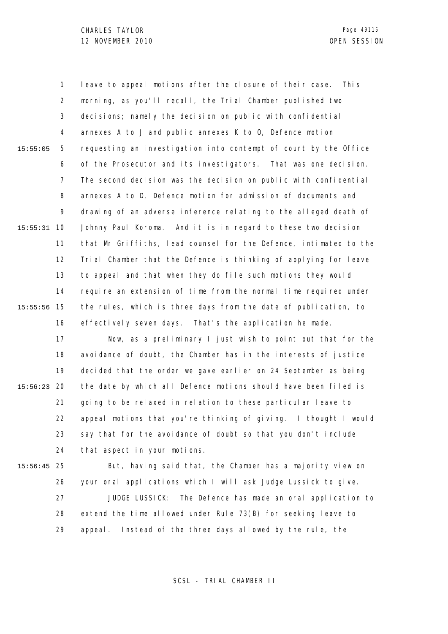1 2 3 4 5 6 7 8 9 10 15:55:31 11 12 13 14 15 15:55:56 16 15:55:05 leave to appeal motions after the closure of their case. This morning, as you'll recall, the Trial Chamber published two decisions; namely the decision on public with confidential annexes A to J and public annexes K to O, Defence motion requesting an investigation into contempt of court by the Office of the Prosecutor and its investigators. That was one decision. The second decision was the decision on public with confidential annexes A to D, Defence motion for admission of documents and drawing of an adverse inference relating to the alleged death of Johnny Paul Koroma. And it is in regard to these two decision that Mr Griffiths, lead counsel for the Defence, intimated to the Trial Chamber that the Defence is thinking of applying for leave to appeal and that when they do file such motions they would require an extension of time from the normal time required under the rules, which is three days from the date of publication, to effectively seven days. That's the application he made.

17 18 19 20 15:56:23 21 22 23 24 Now, as a preliminary I just wish to point out that for the avoidance of doubt, the Chamber has in the interests of justice decided that the order we gave earlier on 24 September as being the date by which all Defence motions should have been filed is going to be relaxed in relation to these particular leave to appeal motions that you're thinking of giving. I thought I would say that for the avoidance of doubt so that you don't include that aspect in your motions.

25 15:56:45

26 27 28 29 But, having said that, the Chamber has a majority view on your oral applications which I will ask Judge Lussick to give. JUDGE LUSSICK: The Defence has made an oral application to extend the time allowed under Rule 73(B) for seeking leave to appeal. Instead of the three days allowed by the rule, the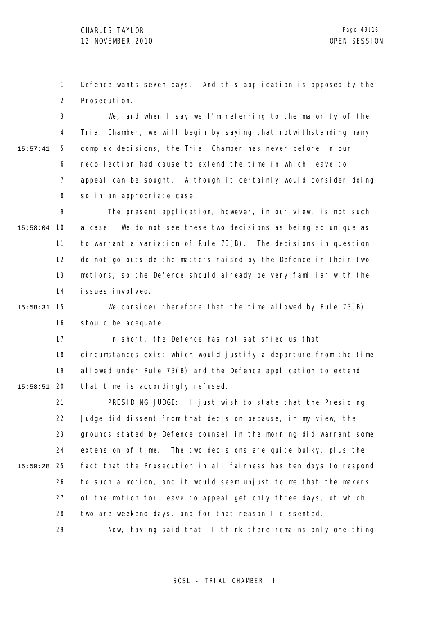1 2 Defence wants seven days. And this application is opposed by the Prosecution.

3 4 5 6 7 8 15:57:41 We, and when I say we I'm referring to the majority of the Trial Chamber, we will begin by saying that notwithstanding many complex decisions, the Trial Chamber has never before in our recollection had cause to extend the time in which leave to appeal can be sought. Although it certainly would consider doing so in an appropriate case.

9 10 15:58:04 11 12 13 14 The present application, however, in our view, is not such a case. We do not see these two decisions as being so unique as to warrant a variation of Rule 73(B). The decisions in question do not go outside the matters raised by the Defence in their two motions, so the Defence should already be very familiar with the issues involved.

15 15:58:31 16 We consider therefore that the time allowed by Rule 73(B) should be adequate.

17 18 19 20 15:58:51 In short, the Defence has not satisfied us that circumstances exist which would justify a departure from the time allowed under Rule 73(B) and the Defence application to extend that time is accordingly refused.

21 22 23 24 25 15:59:28 26 27 28 29 PRESIDING JUDGE: I just wish to state that the Presiding Judge did dissent from that decision because, in my view, the grounds stated by Defence counsel in the morning did warrant some extension of time. The two decisions are quite bulky, plus the fact that the Prosecution in all fairness has ten days to respond to such a motion, and it would seem unjust to me that the makers of the motion for leave to appeal get only three days, of which two are weekend days, and for that reason I dissented. Now, having said that, I think there remains only one thing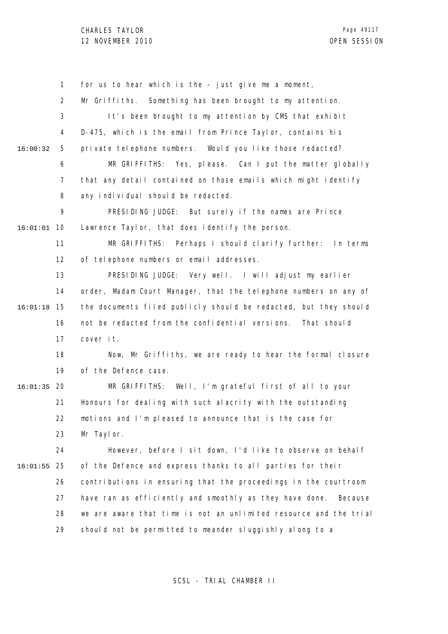1 2 3 4 5 6 7 8 9 10 16:01:01 11 12 13 14 15 16:01:18 16 17 18 19 20 16:01:35 21 22 23 24 25 16:01:55 26 27 28 29 16:00:32 for us to hear which is the - just give me a moment, Mr Griffiths. Something has been brought to my attention. It's been brought to my attention by CMS that exhibit D-475, which is the email from Prince Taylor, contains his private telephone numbers. Would you like those redacted? MR GRIFFITHS: Yes, please. Can I put the matter globally that any detail contained on those emails which might identify any individual should be redacted. PRESIDING JUDGE: But surely if the names are Prince Lawrence Taylor, that does identify the person. MR GRIFFITHS: Perhaps I should clarify further: In terms of telephone numbers or email addresses. PRESIDING JUDGE: Very well. I will adjust my earlier order, Madam Court Manager, that the telephone numbers on any of the documents filed publicly should be redacted, but they should not be redacted from the confidential versions. That should cover it. Now, Mr Griffiths, we are ready to hear the formal closure of the Defence case. MR GRIFFITHS: Well, I'm grateful first of all to your Honours for dealing with such alacrity with the outstanding motions and I'm pleased to announce that is the case for Mr Taylor. However, before I sit down, I'd like to observe on behalf of the Defence and express thanks to all parties for their contributions in ensuring that the proceedings in the courtroom have ran as efficiently and smoothly as they have done. Because we are aware that time is not an unlimited resource and the trial should not be permitted to meander sluggishly along to a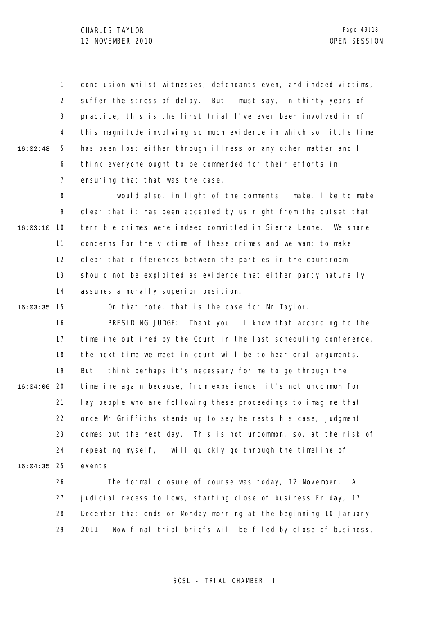1 2 3 4 5 6 7 16:02:48 conclusion whilst witnesses, defendants even, and indeed victims, suffer the stress of delay. But I must say, in thirty years of practice, this is the first trial I've ever been involved in of this magnitude involving so much evidence in which so little time has been lost either through illness or any other matter and I think everyone ought to be commended for their efforts in ensuring that that was the case.

8 9 10 16:03:10 11 12 13 14 I would also, in light of the comments I make, like to make clear that it has been accepted by us right from the outset that terrible crimes were indeed committed in Sierra Leone. We share concerns for the victims of these crimes and we want to make clear that differences between the parties in the courtroom should not be exploited as evidence that either party naturally assumes a morally superior position.

15 16:03:35

On that note, that is the case for Mr Taylor.

16 17 18 19 20 16:04:06 21 22 23 24 25 16:04:35 PRESIDING JUDGE: Thank you. I know that according to the timeline outlined by the Court in the last scheduling conference, the next time we meet in court will be to hear oral arguments. But I think perhaps it's necessary for me to go through the timeline again because, from experience, it's not uncommon for lay people who are following these proceedings to imagine that once Mr Griffiths stands up to say he rests his case, judgment comes out the next day. This is not uncommon, so, at the risk of repeating myself, I will quickly go through the timeline of events.

> 26 27 28 29 The formal closure of course was today, 12 November. A judicial recess follows, starting close of business Friday, 17 December that ends on Monday morning at the beginning 10 January 2011. Now final trial briefs will be filed by close of business,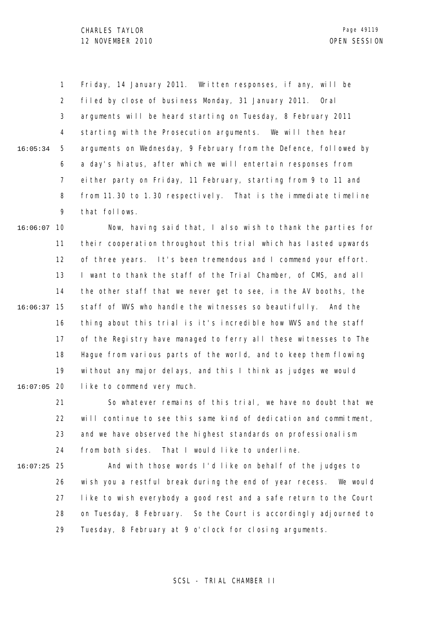1 2 3 4 5 6 7 8 9 16:05:34 Friday, 14 January 2011. Written responses, if any, will be filed by close of business Monday, 31 January 2011. Oral arguments will be heard starting on Tuesday, 8 February 2011 starting with the Prosecution arguments. We will then hear arguments on Wednesday, 9 February from the Defence, followed by a day's hiatus, after which we will entertain responses from either party on Friday, 11 February, starting from 9 to 11 and from 11.30 to 1.30 respectively. That is the immediate timeline that follows.

10 16:06:07 11 12 13 14 15 16:06:37 16 17 18 19 20 16:07:05 Now, having said that, I also wish to thank the parties for their cooperation throughout this trial which has lasted upwards of three years. It's been tremendous and I commend your effort. I want to thank the staff of the Trial Chamber, of CMS, and all the other staff that we never get to see, in the AV booths, the staff of WVS who handle the witnesses so beautifully. And the thing about this trial is it's incredible how WVS and the staff of the Registry have managed to ferry all these witnesses to The Hague from various parts of the world, and to keep them flowing without any major delays, and this I think as judges we would like to commend very much.

> 21 22 23 24 So whatever remains of this trial, we have no doubt that we will continue to see this same kind of dedication and commitment, and we have observed the highest standards on professionalism from both sides. That I would like to underline.

25 16:07:25

26 27 28 29 And with those words I'd like on behalf of the judges to wish you a restful break during the end of year recess. We would like to wish everybody a good rest and a safe return to the Court on Tuesday, 8 February. So the Court is accordingly adjourned to Tuesday, 8 February at 9 o'clock for closing arguments.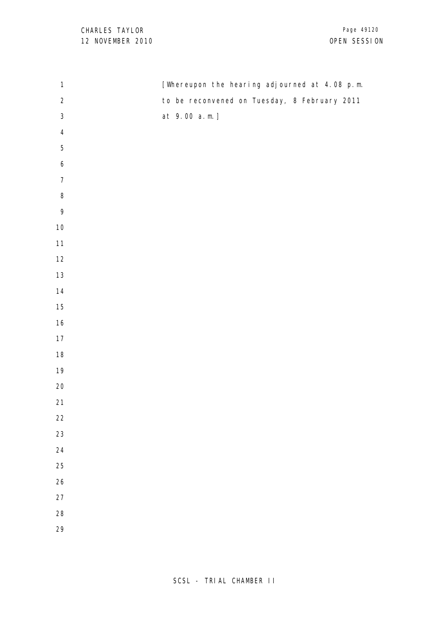| $\mathbf{1}$            | [Whereupon the hearing adjourned at 4.08 p.m. |
|-------------------------|-----------------------------------------------|
| $\sqrt{2}$              | to be reconvened on Tuesday, 8 February 2011  |
| $\sqrt{3}$              | at 9.00 a.m.]                                 |
| $\overline{\mathbf{4}}$ |                                               |
| $\mathbf 5$             |                                               |
| $\boldsymbol{6}$        |                                               |
| $\boldsymbol{7}$        |                                               |
| $\, 8$                  |                                               |
| 9                       |                                               |
| $10$                    |                                               |
| $11$                    |                                               |
| $12\,$                  |                                               |
| $13\,$                  |                                               |
| $14$                    |                                               |
| $15\,$                  |                                               |
| $16\,$                  |                                               |
| $17$                    |                                               |
| $18\,$                  |                                               |
| $19$                    |                                               |
| $20\,$                  |                                               |
| $21$                    |                                               |
| $22\,$                  |                                               |
| 23                      |                                               |
| 24                      |                                               |
| $25\,$                  |                                               |
| $26\,$                  |                                               |
| 27                      |                                               |
| 28                      |                                               |
| 29                      |                                               |
|                         |                                               |